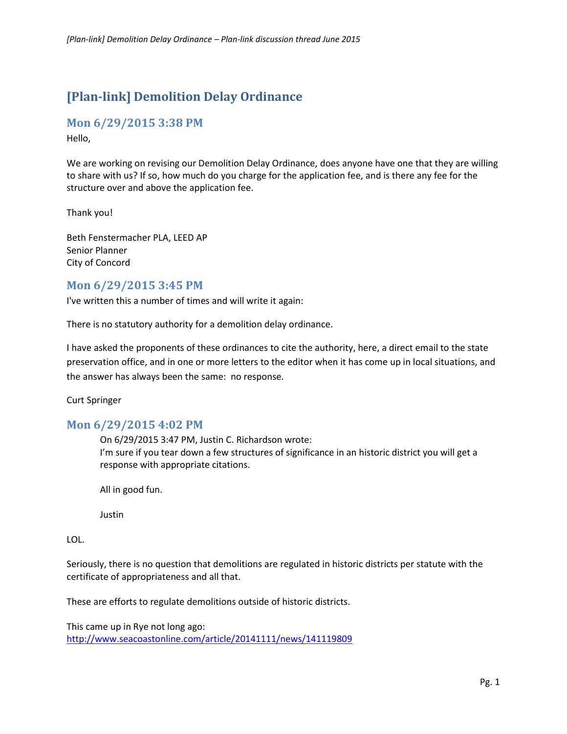# **[Plan-link] Demolition Delay Ordinance**

### **Mon 6/29/2015 3:38 PM**

Hello,

We are working on revising our Demolition Delay Ordinance, does anyone have one that they are willing to share with us? If so, how much do you charge for the application fee, and is there any fee for the structure over and above the application fee.

Thank you!

Beth Fenstermacher PLA, LEED AP Senior Planner City of Concord

### **Mon 6/29/2015 3:45 PM**

I've written this a number of times and will write it again:

There is no statutory authority for a demolition delay ordinance.

I have asked the proponents of these ordinances to cite the authority, here, a direct email to the state preservation office, and in one or more letters to the editor when it has come up in local situations, and the answer has always been the same: no response.

Curt Springer

# **Mon 6/29/2015 4:02 PM**

On 6/29/2015 3:47 PM, Justin C. Richardson wrote: I'm sure if you tear down a few structures of significance in an historic district you will get a response with appropriate citations.

All in good fun.

Justin

LOL.

Seriously, there is no question that demolitions are regulated in historic districts per statute with the certificate of appropriateness and all that.

These are efforts to regulate demolitions outside of historic districts.

This came up in Rye not long ago: <http://www.seacoastonline.com/article/20141111/news/141119809>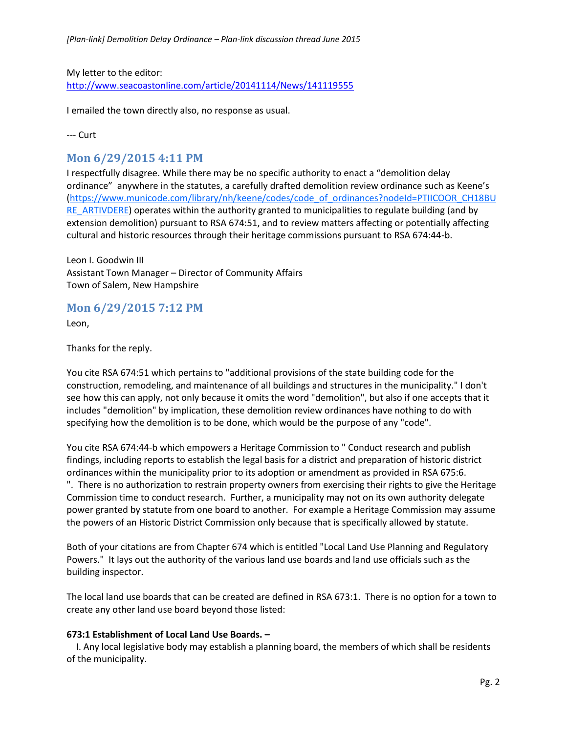My letter to the editor: <http://www.seacoastonline.com/article/20141114/News/141119555>

I emailed the town directly also, no response as usual.

--- Curt

### **Mon 6/29/2015 4:11 PM**

I respectfully disagree. While there may be no specific authority to enact a "demolition delay ordinance" anywhere in the statutes, a carefully drafted demolition review ordinance such as Keene's [\(https://www.municode.com/library/nh/keene/codes/code\\_of\\_ordinances?nodeId=PTIICOOR\\_CH18BU](https://www.municode.com/library/nh/keene/codes/code_of_ordinances?nodeId=PTIICOOR_CH18BURE_ARTIVDERE) [RE\\_ARTIVDERE\)](https://www.municode.com/library/nh/keene/codes/code_of_ordinances?nodeId=PTIICOOR_CH18BURE_ARTIVDERE) operates within the authority granted to municipalities to regulate building (and by extension demolition) pursuant to RSA 674:51, and to review matters affecting or potentially affecting cultural and historic resources through their heritage commissions pursuant to RSA 674:44-b.

Leon I. Goodwin III Assistant Town Manager – Director of Community Affairs Town of Salem, New Hampshire

### **Mon 6/29/2015 7:12 PM**

Leon,

Thanks for the reply.

You cite RSA 674:51 which pertains to "additional provisions of the state building code for the construction, remodeling, and maintenance of all buildings and structures in the municipality." I don't see how this can apply, not only because it omits the word "demolition", but also if one accepts that it includes "demolition" by implication, these demolition review ordinances have nothing to do with specifying how the demolition is to be done, which would be the purpose of any "code".

You cite RSA 674:44-b which empowers a Heritage Commission to " Conduct research and publish findings, including reports to establish the legal basis for a district and preparation of historic district ordinances within the municipality prior to its adoption or amendment as provided in RSA 675:6. ". There is no authorization to restrain property owners from exercising their rights to give the Heritage Commission time to conduct research. Further, a municipality may not on its own authority delegate power granted by statute from one board to another. For example a Heritage Commission may assume the powers of an Historic District Commission only because that is specifically allowed by statute.

Both of your citations are from Chapter 674 which is entitled "Local Land Use Planning and Regulatory Powers." It lays out the authority of the various land use boards and land use officials such as the building inspector.

The local land use boards that can be created are defined in RSA 673:1. There is no option for a town to create any other land use board beyond those listed:

#### **673:1 Establishment of Local Land Use Boards. –**

I. Any local legislative body may establish a planning board, the members of which shall be residents of the municipality.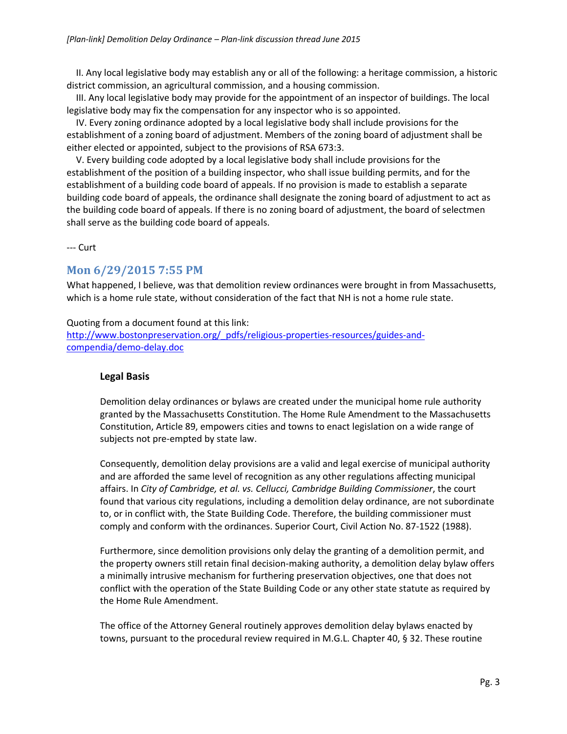II. Any local legislative body may establish any or all of the following: a heritage commission, a historic district commission, an agricultural commission, and a housing commission.

III. Any local legislative body may provide for the appointment of an inspector of buildings. The local legislative body may fix the compensation for any inspector who is so appointed.

IV. Every zoning ordinance adopted by a local legislative body shall include provisions for the establishment of a zoning board of adjustment. Members of the zoning board of adjustment shall be either elected or appointed, subject to the provisions of RSA 673:3.

V. Every building code adopted by a local legislative body shall include provisions for the establishment of the position of a building inspector, who shall issue building permits, and for the establishment of a building code board of appeals. If no provision is made to establish a separate building code board of appeals, the ordinance shall designate the zoning board of adjustment to act as the building code board of appeals. If there is no zoning board of adjustment, the board of selectmen shall serve as the building code board of appeals.

--- Curt

# **Mon 6/29/2015 7:55 PM**

What happened, I believe, was that demolition review ordinances were brought in from Massachusetts, which is a home rule state, without consideration of the fact that NH is not a home rule state.

#### Quoting from a document found at this link:

[http://www.bostonpreservation.org/\\_pdfs/religious-properties-resources/guides-and](http://www.bostonpreservation.org/_pdfs/religious-properties-resources/guides-and-compendia/demo-delay.doc)[compendia/demo-delay.doc](http://www.bostonpreservation.org/_pdfs/religious-properties-resources/guides-and-compendia/demo-delay.doc)

### **Legal Basis**

Demolition delay ordinances or bylaws are created under the municipal home rule authority granted by the Massachusetts Constitution. The Home Rule Amendment to the Massachusetts Constitution, Article 89, empowers cities and towns to enact legislation on a wide range of subjects not pre-empted by state law.

Consequently, demolition delay provisions are a valid and legal exercise of municipal authority and are afforded the same level of recognition as any other regulations affecting municipal affairs. In *City of Cambridge, et al. vs. Cellucci, Cambridge Building Commissioner*, the court found that various city regulations, including a demolition delay ordinance, are not subordinate to, or in conflict with, the State Building Code. Therefore, the building commissioner must comply and conform with the ordinances. Superior Court, Civil Action No. 87-1522 (1988).

Furthermore, since demolition provisions only delay the granting of a demolition permit, and the property owners still retain final decision-making authority, a demolition delay bylaw offers a minimally intrusive mechanism for furthering preservation objectives, one that does not conflict with the operation of the State Building Code or any other state statute as required by the Home Rule Amendment.

The office of the Attorney General routinely approves demolition delay bylaws enacted by towns, pursuant to the procedural review required in M.G.L. Chapter 40, § 32. These routine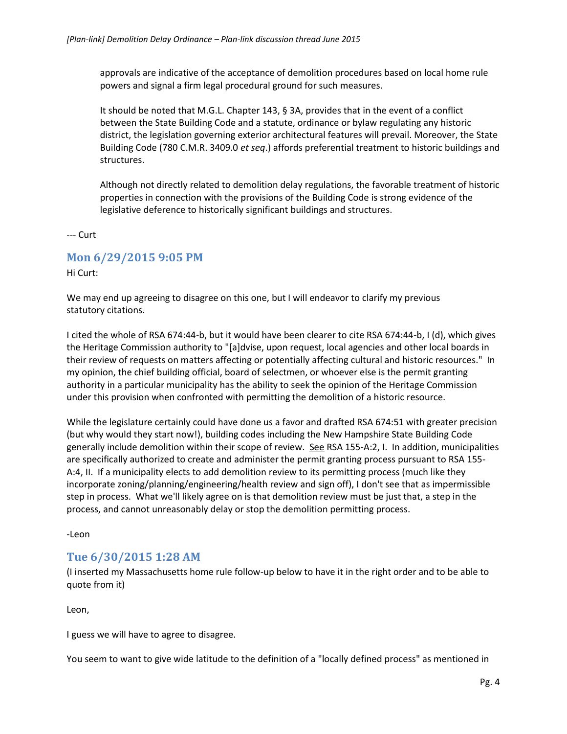approvals are indicative of the acceptance of demolition procedures based on local home rule powers and signal a firm legal procedural ground for such measures.

It should be noted that M.G.L. Chapter 143, § 3A, provides that in the event of a conflict between the State Building Code and a statute, ordinance or bylaw regulating any historic district, the legislation governing exterior architectural features will prevail. Moreover, the State Building Code (780 C.M.R. 3409.0 *et seq*.) affords preferential treatment to historic buildings and structures.

Although not directly related to demolition delay regulations, the favorable treatment of historic properties in connection with the provisions of the Building Code is strong evidence of the legislative deference to historically significant buildings and structures.

--- Curt

### **Mon 6/29/2015 9:05 PM**

Hi Curt:

We may end up agreeing to disagree on this one, but I will endeavor to clarify my previous statutory citations.

I cited the whole of RSA 674:44-b, but it would have been clearer to cite RSA 674:44-b, I (d), which gives the Heritage Commission authority to "[a]dvise, upon request, local agencies and other local boards in their review of requests on matters affecting or potentially affecting cultural and historic resources." In my opinion, the chief building official, board of selectmen, or whoever else is the permit granting authority in a particular municipality has the ability to seek the opinion of the Heritage Commission under this provision when confronted with permitting the demolition of a historic resource.

While the legislature certainly could have done us a favor and drafted RSA 674:51 with greater precision (but why would they start now!), building codes including the New Hampshire State Building Code generally include demolition within their scope of review. See RSA 155-A:2, I. In addition, municipalities are specifically authorized to create and administer the permit granting process pursuant to RSA 155- A:4, II. If a municipality elects to add demolition review to its permitting process (much like they incorporate zoning/planning/engineering/health review and sign off), I don't see that as impermissible step in process. What we'll likely agree on is that demolition review must be just that, a step in the process, and cannot unreasonably delay or stop the demolition permitting process.

-Leon

# **Tue 6/30/2015 1:28 AM**

(I inserted my Massachusetts home rule follow-up below to have it in the right order and to be able to quote from it)

Leon,

I guess we will have to agree to disagree.

You seem to want to give wide latitude to the definition of a "locally defined process" as mentioned in